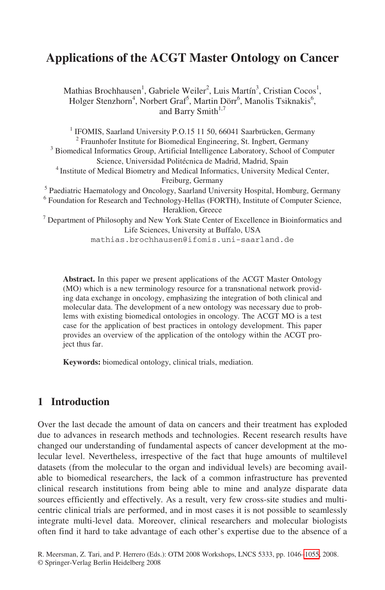## **Applications of the ACGT Master Ontology on Cancer**

Mathias Brochhausen<sup>1</sup>, Gabriele Weiler<sup>2</sup>, Luis Martín<sup>3</sup>, Cristian Cocos<sup>1</sup>, Holger Stenzhorn<sup>4</sup>, Norbert Graf<sup>5</sup>, Martin Dörr<sup>6</sup>, Manolis Tsiknakis<sup>6</sup>, and Barry Smith $1,7$ 

<sup>1</sup> IFOMIS, Saarland University P.O.15 11 50, 66041 Saarbrücken, Germany <sup>2</sup> Fraunhofer Institute for Biomedical Engineering, St. Ingbert, Germany <sup>2</sup> Fraunhofer Institute for Biomedical Engineering, St. Ingbert, Germany<br><sup>3</sup> Biomedical Informatics Group, Artificial Intelligence Laboratory, School of Computer Science, Universidad Politécnica de Madrid, Madrid, Spain 4 Institute of Medical Biometry and Medical Informatics, University Medical Center,

Freiburg, Germany<br><sup>5</sup> Paediatric Haematology and Oncology, Saarland University Hospital, Homburg, Germany <sup>6</sup> Foundation for Research and Technology-Hellas (FORTH), Institute of Computer Science,

Heraklion, Greece<br>
<sup>7</sup> Department of Philosophy and New York State Center of Excellence in Bioinformatics and Life Sciences, University at Buffalo, USA

mathias.brochhausen@ifomis.uni-saarland.de

**Abstract.** In this paper we present applications of the ACGT Master Ontology (MO) which is a new terminology resource for a transnational network providing data exchange in oncology, emphasizing the integration of both clinical and molecular data. The development of a new ontology was necessary due to problems with existing biomedical ontologies in oncology. The ACGT MO is a test case for the application of best practices in ontology development. This paper provides an overview of the application of the ontology within the ACGT project thus far.

**Keywords:** biomedical ontology, clinical trials, mediation.

## **1 Introduction**

Over the last decade the amount of data on cancers and their treatment has exploded due to advances in research methods and technologies. Recent research results have changed our understanding of fundamental aspects of cancer development at the molecular level. Nevertheless, irrespective of the fact that huge amounts of multilevel datasets (from the molecular to the organ and indivi[dual](#page-9-0) levels) are becoming available to biomedical researchers, the lack of a common infrastructure has prevented clinical research institutions from being able to mine and analyze disparate data sources efficiently and effectively. As a result, very few cross-site studies and multicentric clinical trials are performed, and in most cases it is not possible to seamlessly integrate multi-level data. Moreover, clinical researchers and molecular biologists often find it hard to take advantage of each other's expertise due to the absence of a

R. Meersman, Z. Tari, and P. Herrero (Eds.): OTM 2008 Workshops, LNCS 5333, pp. 1046–1055, 2008. © Springer-Verlag Berlin Heidelberg 2008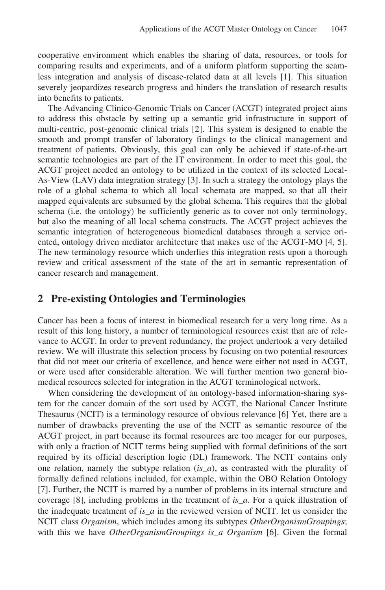cooperative environment which enables the sharing of data, resources, or tools for comparing results and experiments, and of a uniform platform supporting the seamless integration and analysis of disease-related data at all levels [1]. This situation severely jeopardizes research progress and hinders the translation of research results into benefits to patients.

The Advancing Clinico-Genomic Trials on Cancer (ACGT) integrated project aims to address this obstacle by setting up a semantic grid infrastructure in support of multi-centric, post-genomic clinical trials [2]. This system is designed to enable the smooth and prompt transfer of laboratory findings to the clinical management and treatment of patients. Obviously, this goal can only be achieved if state-of-the-art semantic technologies are part of the IT environment. In order to meet this goal, the ACGT project needed an ontology to be utilized in the context of its selected Local-As-View (LAV) data integration strategy [3]. In such a strategy the ontology plays the role of a global schema to which all local schemata are mapped, so that all their mapped equivalents are subsumed by the global schema. This requires that the global schema (i.e. the ontology) be sufficiently generic as to cover not only terminology, but also the meaning of all local schema constructs. The ACGT project achieves the semantic integration of heterogeneous biomedical databases through a service oriented, ontology driven mediator architecture that makes use of the ACGT-MO [4, 5]. The new terminology resource which underlies this integration rests upon a thorough review and critical assessment of the state of the art in semantic representation of cancer research and management.

### **2 Pre-existing Ontologies and Terminologies**

Cancer has been a focus of interest in biomedical research for a very long time. As a result of this long history, a number of terminological resources exist that are of relevance to ACGT. In order to prevent redundancy, the project undertook a very detailed review. We will illustrate this selection process by focusing on two potential resources that did not meet our criteria of excellence, and hence were either not used in ACGT, or were used after considerable alteration. We will further mention two general biomedical resources selected for integration in the ACGT terminological network.

When considering the development of an ontology-based information-sharing system for the cancer domain of the sort used by ACGT, the National Cancer Institute Thesaurus (NCIT) is a terminology resource of obvious relevance [6] Yet, there are a number of drawbacks preventing the use of the NCIT as semantic resource of the ACGT project, in part because its formal resources are too meager for our purposes, with only a fraction of NCIT terms being supplied with formal definitions of the sort required by its official description logic (DL) framework. The NCIT contains only one relation, namely the subtype relation  $(is_a)$ , as contrasted with the plurality of formally defined relations included, for example, within the OBO Relation Ontology [7]. Further, the NCIT is marred by a number of problems in its internal structure and coverage [8], including problems in the treatment of *is\_a*. For a quick illustration of the inadequate treatment of *is\_a* in the reviewed version of NCIT. let us consider the NCIT class *Organism*, which includes among its subtypes *OtherOrganismGroupings*; with this we have *OtherOrganismGroupings is\_a Organism* [6]. Given the formal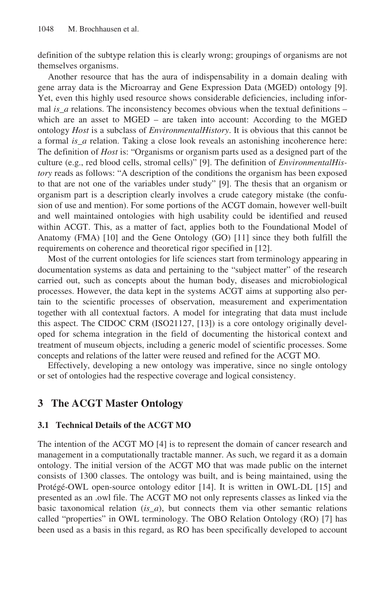definition of the subtype relation this is clearly wrong; groupings of organisms are not themselves organisms.

Another resource that has the aura of indispensability in a domain dealing with gene array data is the Microarray and Gene Expression Data (MGED) ontology [9]. Yet, even this highly used resource shows considerable deficiencies, including informal *is\_a* relations. The inconsistency becomes obvious when the textual definitions – which are an asset to MGED – are taken into account: According to the MGED ontology *Host* is a subclass of *EnvironmentalHistory*. It is obvious that this cannot be a formal *is\_a* relation. Taking a close look reveals an astonishing incoherence here: The definition of *Host* is: "Organisms or organism parts used as a designed part of the culture (e.g., red blood cells, stromal cells)" [9]. The definition of *EnvironmentalHistory* reads as follows: "A description of the conditions the organism has been exposed to that are not one of the variables under study" [9]. The thesis that an organism or organism part is a description clearly involves a crude category mistake (the confusion of use and mention). For some portions of the ACGT domain, however well-built and well maintained ontologies with high usability could be identified and reused within ACGT. This, as a matter of fact, applies both to the Foundational Model of Anatomy (FMA) [10] and the Gene Ontology (GO) [11] since they both fulfill the requirements on coherence and theoretical rigor specified in [12].

Most of the current ontologies for life sciences start from terminology appearing in documentation systems as data and pertaining to the "subject matter" of the research carried out, such as concepts about the human body, diseases and microbiological processes. However, the data kept in the systems ACGT aims at supporting also pertain to the scientific processes of observation, measurement and experimentation together with all contextual factors. A model for integrating that data must include this aspect. The CIDOC CRM (ISO21127, [13]) is a core ontology originally developed for schema integration in the field of documenting the historical context and treatment of museum objects, including a generic model of scientific processes. Some concepts and relations of the latter were reused and refined for the ACGT MO.

Effectively, developing a new ontology was imperative, since no single ontology or set of ontologies had the respective coverage and logical consistency.

## **3 The ACGT Master Ontology**

#### **3.1 Technical Details of the ACGT MO**

The intention of the ACGT MO [4] is to represent the domain of cancer research and management in a computationally tractable manner. As such, we regard it as a domain ontology. The initial version of the ACGT MO that was made public on the internet consists of 1300 classes. The ontology was built, and is being maintained, using the Protégé-OWL open-source ontology editor [14]. It is written in OWL-DL [15] and presented as an .owl file. The ACGT MO not only represents classes as linked via the basic taxonomical relation (*is\_a*), but connects them via other semantic relations called "properties" in OWL terminology. The OBO Relation Ontology (RO) [7] has been used as a basis in this regard, as RO has been specifically developed to account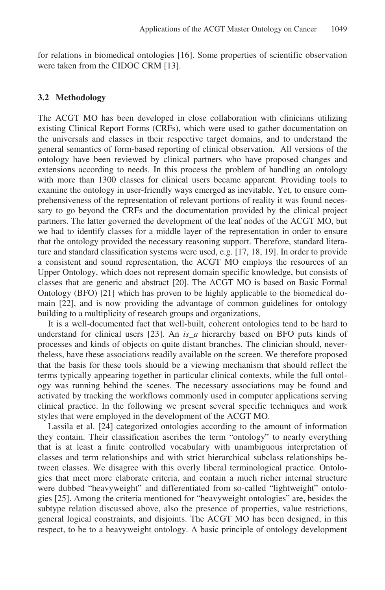for relations in biomedical ontologies [16]. Some properties of scientific observation were taken from the CIDOC CRM [13].

#### **3.2 Methodology**

The ACGT MO has been developed in close collaboration with clinicians utilizing existing Clinical Report Forms (CRFs), which were used to gather documentation on the universals and classes in their respective target domains, and to understand the general semantics of form-based reporting of clinical observation. All versions of the ontology have been reviewed by clinical partners who have proposed changes and extensions according to needs. In this process the problem of handling an ontology with more than 1300 classes for clinical users became apparent. Providing tools to examine the ontology in user-friendly ways emerged as inevitable. Yet, to ensure comprehensiveness of the representation of relevant portions of reality it was found necessary to go beyond the CRFs and the documentation provided by the clinical project partners. The latter governed the development of the leaf nodes of the ACGT MO, but we had to identify classes for a middle layer of the representation in order to ensure that the ontology provided the necessary reasoning support. Therefore, standard literature and standard classification systems were used, e.g. [17, 18, 19]. In order to provide a consistent and sound representation, the ACGT MO employs the resources of an Upper Ontology, which does not represent domain specific knowledge, but consists of classes that are generic and abstract [20]. The ACGT MO is based on Basic Formal Ontology (BFO) [21] which has proven to be highly applicable to the biomedical domain [22], and is now providing the advantage of common guidelines for ontology building to a multiplicity of research groups and organizations,

It is a well-documented fact that well-built, coherent ontologies tend to be hard to understand for clinical users [23]. An *is\_a* hierarchy based on BFO puts kinds of processes and kinds of objects on quite distant branches. The clinician should, nevertheless, have these associations readily available on the screen. We therefore proposed that the basis for these tools should be a viewing mechanism that should reflect the terms typically appearing together in particular clinical contexts, while the full ontology was running behind the scenes. The necessary associations may be found and activated by tracking the workflows commonly used in computer applications serving clinical practice. In the following we present several specific techniques and work styles that were employed in the development of the ACGT MO.

Lassila et al. [24] categorized ontologies according to the amount of information they contain. Their classification ascribes the term "ontology" to nearly everything that is at least a finite controlled vocabulary with unambiguous interpretation of classes and term relationships and with strict hierarchical subclass relationships between classes. We disagree with this overly liberal terminological practice. Ontologies that meet more elaborate criteria, and contain a much richer internal structure were dubbed "heavyweight" and differentiated from so-called "lightweight" ontologies [25]. Among the criteria mentioned for "heavyweight ontologies" are, besides the subtype relation discussed above, also the presence of properties, value restrictions, general logical constraints, and disjoints. The ACGT MO has been designed, in this respect, to be to a heavyweight ontology. A basic principle of ontology development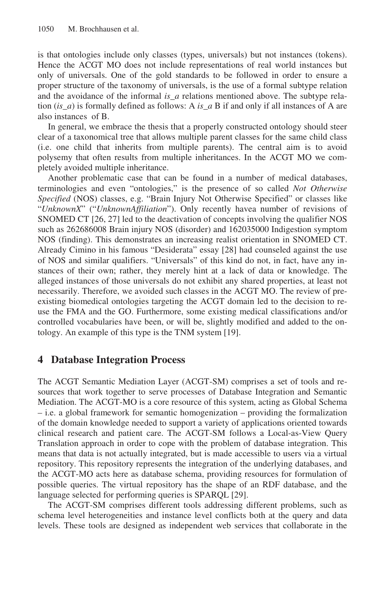is that ontologies include only classes (types, universals) but not instances (tokens). Hence the ACGT MO does not include representations of real world instances but only of universals. One of the gold standards to be followed in order to ensure a proper structure of the taxonomy of universals, is the use of a formal subtype relation and the avoidance of the informal *is\_a* relations mentioned above. The subtype relation (*is\_a*) is formally defined as follows: A *is\_a* B if and only if all instances of A are also instances of B.

In general, we embrace the thesis that a properly constructed ontology should steer clear of a taxonomical tree that allows multiple parent classes for the same child class (i.e. one child that inherits from multiple parents). The central aim is to avoid polysemy that often results from multiple inheritances. In the ACGT MO we completely avoided multiple inheritance.

Another problematic case that can be found in a number of medical databases, terminologies and even "ontologies," is the presence of so called *Not Otherwise Specified* (NOS) classes, e.g. "Brain Injury Not Otherwise Specified" or classes like "*UnknownX*" ("*UnknownAffiliation*"). Only recently havea number of revisions of SNOMED CT [26, 27] led to the deactivation of concepts involving the qualifier NOS such as 262686008 Brain injury NOS (disorder) and 162035000 Indigestion symptom NOS (finding). This demonstrates an increasing realist orientation in SNOMED CT. Already Cimino in his famous "Desiderata" essay [28] had counseled against the use of NOS and similar qualifiers. "Universals" of this kind do not, in fact, have any instances of their own; rather, they merely hint at a lack of data or knowledge. The alleged instances of those universals do not exhibit any shared properties, at least not necessarily. Therefore, we avoided such classes in the ACGT MO. The review of preexisting biomedical ontologies targeting the ACGT domain led to the decision to reuse the FMA and the GO. Furthermore, some existing medical classifications and/or controlled vocabularies have been, or will be, slightly modified and added to the ontology. An example of this type is the TNM system [19].

## **4 Database Integration Process**

The ACGT Semantic Mediation Layer (ACGT-SM) comprises a set of tools and resources that work together to serve processes of Database Integration and Semantic Mediation. The ACGT-MO is a core resource of this system, acting as Global Schema – i.e. a global framework for semantic homogenization – providing the formalization of the domain knowledge needed to support a variety of applications oriented towards clinical research and patient care. The ACGT-SM follows a Local-as-View Query Translation approach in order to cope with the problem of database integration. This means that data is not actually integrated, but is made accessible to users via a virtual repository. This repository represents the integration of the underlying databases, and the ACGT-MO acts here as database schema, providing resources for formulation of possible queries. The virtual repository has the shape of an RDF database, and the language selected for performing queries is SPARQL [29].

The ACGT-SM comprises different tools addressing different problems, such as schema level heterogeneities and instance level conflicts both at the query and data levels. These tools are designed as independent web services that collaborate in the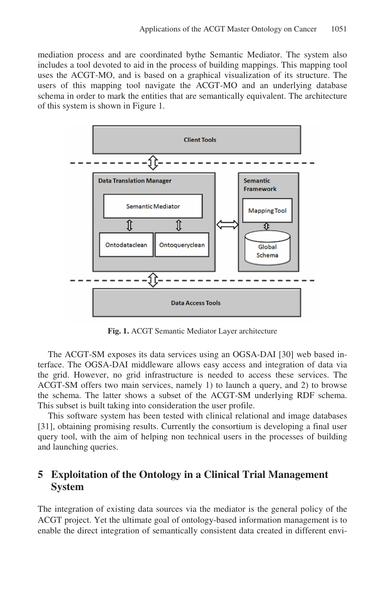mediation process and are coordinated bythe Semantic Mediator. The system also includes a tool devoted to aid in the process of building mappings. This mapping tool uses the ACGT-MO, and is based on a graphical visualization of its structure. The users of this mapping tool navigate the ACGT-MO and an underlying database schema in order to mark the entities that are semantically equivalent. The architecture of this system is shown in Figure 1.



**Fig. 1.** ACGT Semantic Mediator Layer architecture

The ACGT-SM exposes its data services using an OGSA-DAI [30] web based interface. The OGSA-DAI middleware allows easy access and integration of data via the grid. However, no grid infrastructure is needed to access these services. The ACGT-SM offers two main services, namely 1) to launch a query, and 2) to browse the schema. The latter shows a subset of the ACGT-SM underlying RDF schema. This subset is built taking into consideration the user profile.

This software system has been tested with clinical relational and image databases [31], obtaining promising results. Currently the consortium is developing a final user query tool, with the aim of helping non technical users in the processes of building and launching queries.

## **5 Exploitation of the Ontology in a Clinical Trial Management System**

The integration of existing data sources via the mediator is the general policy of the ACGT project. Yet the ultimate goal of ontology-based information management is to enable the direct integration of semantically consistent data created in different envi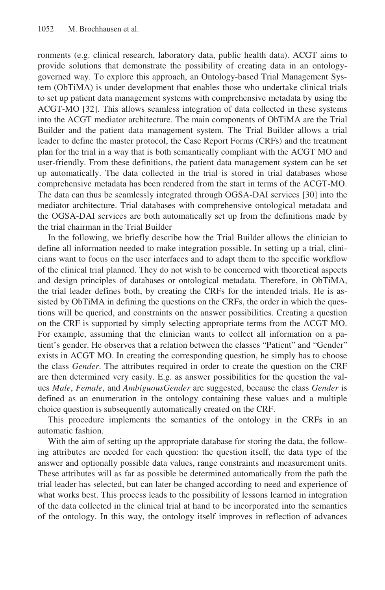ronments (e.g. clinical research, laboratory data, public health data). ACGT aims to provide solutions that demonstrate the possibility of creating data in an ontologygoverned way. To explore this approach, an Ontology-based Trial Management System (ObTiMA) is under development that enables those who undertake clinical trials to set up patient data management systems with comprehensive metadata by using the ACGT-MO [32]. This allows seamless integration of data collected in these systems into the ACGT mediator architecture. The main components of ObTiMA are the Trial Builder and the patient data management system. The Trial Builder allows a trial leader to define the master protocol, the Case Report Forms (CRFs) and the treatment plan for the trial in a way that is both semantically compliant with the ACGT MO and user-friendly. From these definitions, the patient data management system can be set up automatically. The data collected in the trial is stored in trial databases whose comprehensive metadata has been rendered from the start in terms of the ACGT-MO. The data can thus be seamlessly integrated through OGSA-DAI services [30] into the mediator architecture. Trial databases with comprehensive ontological metadata and the OGSA-DAI services are both automatically set up from the definitions made by the trial chairman in the Trial Builder

In the following, we briefly describe how the Trial Builder allows the clinician to define all information needed to make integration possible. In setting up a trial, clinicians want to focus on the user interfaces and to adapt them to the specific workflow of the clinical trial planned. They do not wish to be concerned with theoretical aspects and design principles of databases or ontological metadata. Therefore, in ObTiMA, the trial leader defines both, by creating the CRFs for the intended trials. He is assisted by ObTiMA in defining the questions on the CRFs, the order in which the questions will be queried, and constraints on the answer possibilities. Creating a question on the CRF is supported by simply selecting appropriate terms from the ACGT MO. For example, assuming that the clinician wants to collect all information on a patient's gender. He observes that a relation between the classes "Patient" and "Gender" exists in ACGT MO. In creating the corresponding question, he simply has to choose the class *Gender*. The attributes required in order to create the question on the CRF are then determined very easily. E.g. as answer possibilities for the question the values *Male*, *Female*, and *AmbiguousGender* are suggested, because the class *Gender* is defined as an enumeration in the ontology containing these values and a multiple choice question is subsequently automatically created on the CRF.

This procedure implements the semantics of the ontology in the CRFs in an automatic fashion.

With the aim of setting up the appropriate database for storing the data, the following attributes are needed for each question: the question itself, the data type of the answer and optionally possible data values, range constraints and measurement units. These attributes will as far as possible be determined automatically from the path the trial leader has selected, but can later be changed according to need and experience of what works best. This process leads to the possibility of lessons learned in integration of the data collected in the clinical trial at hand to be incorporated into the semantics of the ontology. In this way, the ontology itself improves in reflection of advances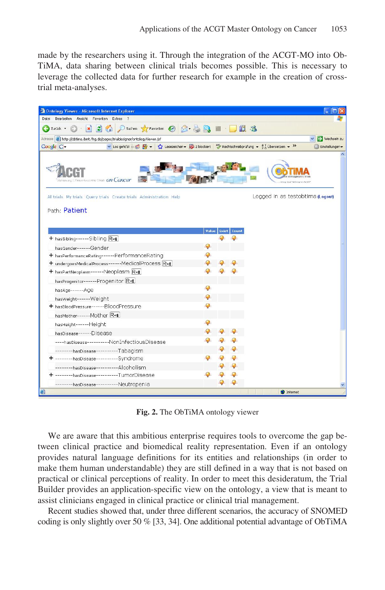made by the researchers using it. Through the integration of the ACGT-MO into Ob-TiMA, data sharing between clinical trials becomes possible. This is necessary to leverage the collected data for further research for example in the creation of crosstrial meta-analyses.

| 2 Ontology Viewer - Microsoft Internet Explorer                                                            |              |       |       |                                  |                           |
|------------------------------------------------------------------------------------------------------------|--------------|-------|-------|----------------------------------|---------------------------|
| Bearbeiten Ansicht Favoriten Extras ?<br>Datei                                                             |              |       |       |                                  |                           |
| D Suchen ☆Favoriten → 日 日 日 日 日 日 出 名<br>$ \boldsymbol{z} $<br>⇔<br>Zurück +<br>$\pmb{\times}$<br>G.       |              |       |       |                                  |                           |
| Adresse   http://obtima.ibmt.fhg.de/pages/trialdesigner/ontologyViewer.jsf                                 |              |       |       |                                  | $\Rightarrow$ Wechseln zu |
| v Los geht's! ( Si + 12 Lesezeichen + 32 blockiert 40 Rechtschreibprüfung + 3 Übersetzen + >><br>Coogle G- |              |       |       |                                  | Einstellungen             |
| tanancing Clinica Generatio Trials <b>On Cancer</b>                                                        |              |       |       |                                  |                           |
| All trials My trials Query trials Create trials Administration Help                                        |              |       |       | Logged in as testobtima (Logout) |                           |
| Path: Patient                                                                                              | <b>Value</b> | Exist | Count |                                  |                           |
| + hassibling------Sibling R-                                                                               |              |       |       |                                  |                           |
| hasGender------Gender                                                                                      |              |       |       |                                  |                           |
| + hasPerformanceRating------PerformanceRating                                                              |              |       |       |                                  |                           |
| + undergoesMedicalProcess------MedicalProcess R-                                                           |              |       |       |                                  |                           |
| + hasPartNeoplasm------Neoplasm R <e< td=""><td></td><td></td><td></td><td></td><td></td></e<>             |              |       |       |                                  |                           |
| hasProgenitor------Progenitor R<                                                                           |              |       |       |                                  |                           |
| hasAge------Age                                                                                            | $\circ$      |       |       |                                  |                           |
| hasweight------Weight                                                                                      |              |       |       |                                  |                           |
| + hasBloodPressure------BloodPressure                                                                      | $\bullet$    |       |       |                                  |                           |
| hasMother------Mother R<1                                                                                  |              |       |       |                                  |                           |
| hasHeight------Height                                                                                      |              |       |       |                                  |                           |
| hasDisease------Disease                                                                                    |              |       |       |                                  |                           |
|                                                                                                            |              |       |       |                                  |                           |
| ----hasDisease----------NonInfectiousDisease                                                               |              |       |       |                                  |                           |
| --------hasDisease----------Tabagism<br>+ --------hasDisease----------Syndrome                             |              |       |       |                                  |                           |
|                                                                                                            |              |       |       |                                  |                           |
| --------hasDisease-----------Alcoholism<br>+ --------hasDisease----------TumorDisease                      |              |       |       |                                  |                           |
|                                                                                                            |              |       |       |                                  |                           |
| --------hasDisease-----------Neutropenia<br>画                                                              |              |       |       | Internet                         |                           |

**Fig. 2.** The ObTiMA ontology viewer

We are aware that this ambitious enterprise requires tools to overcome the gap between clinical practice and biomedical reality representation. Even if an ontology provides natural language definitions for its entities and relationships (in order to make them human understandable) they are still defined in a way that is not based on practical or clinical perceptions of reality. In order to meet this desideratum, the Trial Builder provides an application-specific view on the ontology, a view that is meant to assist clinicians engaged in clinical practice or clinical trial management.

Recent studies showed that, under three different scenarios, the accuracy of SNOMED coding is only slightly over 50 % [33, 34]. One additional potential advantage of ObTiMA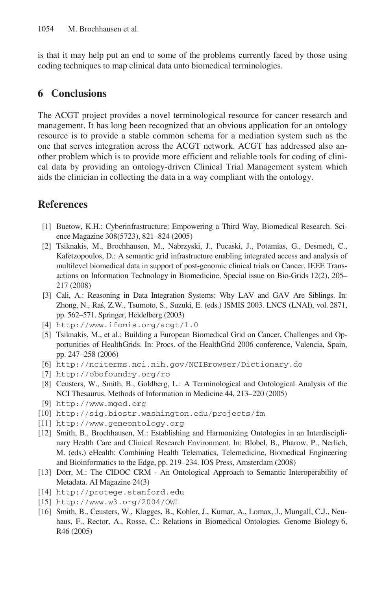is that it may help put an end to some of the problems currently faced by those using coding techniques to map clinical data unto biomedical terminologies.

## **6 Conclusions**

The ACGT project provides a novel terminological resource for cancer research and management. It has long been recognized that an obvious application for an ontology resource is to provide a stable common schema for a mediation system such as the one that serves integration across the ACGT network. ACGT has addressed also another problem which is to provide more efficient and reliable tools for coding of clinical data by providing an ontology-driven Clinical Trial Management system which aids the clinician in collecting the data in a way compliant with the ontology.

# **References**

- [1] Buetow, K.H.: Cyberinfrastructure: Empowering a Third Way, Biomedical Research. Science Magazine 308(5723), 821–824 (2005)
- [2] Tsiknakis, M., Brochhausen, M., Nabrzyski, J., Pucaski, J., Potamias, G., Desmedt, C., Kafetzopoulos, D.: A semantic grid infrastructure enabling integrated access and analysis of multilevel biomedical data in support of post-genomic clinical trials on Cancer. IEEE Transactions on Information Technology in Biomedicine, Special issue on Bio-Grids 12(2), 205– 217 (2008)
- [3] Cali, A.: Reasoning in Data Integration Systems: Why LAV and GAV Are Siblings. In: Zhong, N., Raś, Z.W., Tsumoto, S., Suzuki, E. (eds.) ISMIS 2003. LNCS (LNAI), vol. 2871, pp. 562–571. Springer, Heidelberg (2003)
- [4] http://www.ifomis.org/acgt/1.0
- [5] Tsiknakis, M., et al.: Building a European Biomedical Grid on Cancer, Challenges and Opportunities of HealthGrids. In: Procs. of the HealthGrid 2006 conference, Valencia, Spain, pp. 247–258 (2006)
- [6] http://nciterms.nci.nih.gov/NCIBrowser/Dictionary.do
- [7] http://obofoundry.org/ro
- [8] Ceusters, W., Smith, B., Goldberg, L.: A Terminological and Ontological Analysis of the NCI Thesaurus. Methods of Information in Medicine 44, 213–220 (2005)
- [9] http://www.mged.org
- [10] http://sig.biostr.washington.edu/projects/fm
- [11] http://www.geneontology.org
- [12] Smith, B., Brochhausen, M.: Establishing and Harmonizing Ontologies in an Interdisciplinary Health Care and Clinical Research Environment. In: Blobel, B., Pharow, P., Nerlich, M. (eds.) eHealth: Combining Health Telematics, Telemedicine, Biomedical Engineering and Bioinformatics to the Edge, pp. 219–234. IOS Press, Amsterdam (2008)
- [13] Dörr, M.: The CIDOC CRM An Ontological Approach to Semantic Interoperability of Metadata. AI Magazine 24(3)
- [14] http://protege.stanford.edu
- [15] http://www.w3.org/2004/OWL
- [16] Smith, B., Ceusters, W., Klagges, B., Kohler, J., Kumar, A., Lomax, J., Mungall, C.J., Neuhaus, F., Rector, A., Rosse, C.: Relations in Biomedical Ontologies. Genome Biology 6, R46 (2005)